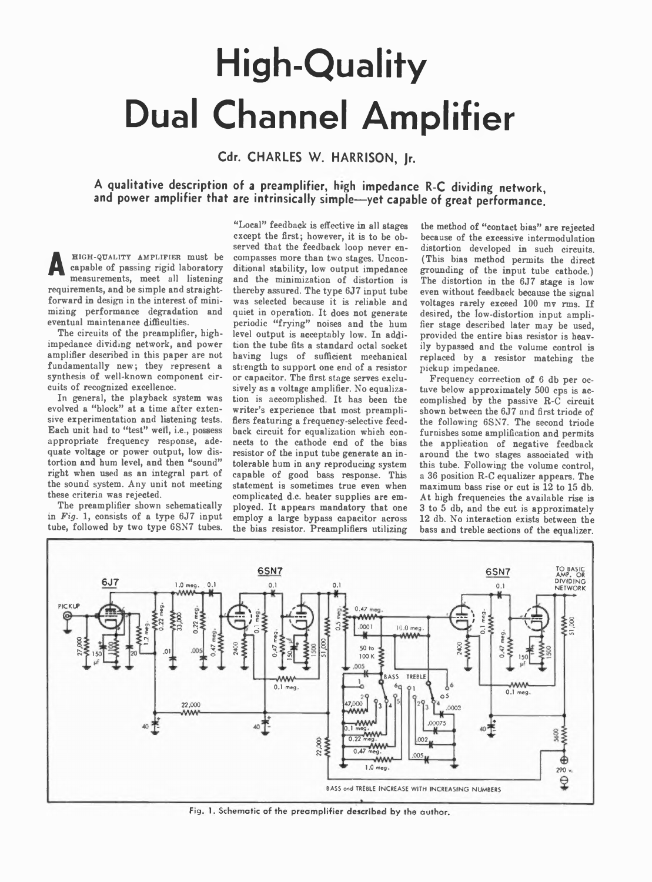## **High-Quality Dual Channel Amplifier**

Cdr. CHARLES W. HARRISON, Jr.

## A qualitative description of a preamplifier, high impedance R-C dividing network, **and power amplifier that are intrinsically simple— yet capable of great performance.**

**A** HIGH-QUALITY AMPLIFIER must be capable of passing rigid laboratory measurements, meet all listening requirements, and be simple and straightforward in design in the interest of minimizing performance degradation and eventual maintenance difficulties.

The circuits of the preamplifier, highimpedance dividing network, and power amplifier described in this paper are not fundamentally new; they represent a synthesis of well-known component circuits of recognized excellence.

In general, the playback system was evolved a "block" at a time after extensive experimentation and listening tests. Each unit had to "test" well, i.e., possess appropriate frequency response, adequate voltage or power output, low distortion and hum level, and then "sound" right when used as an integral part of the sound system. Any unit not meeting these criteria was rejected.

The preamplifier shown schematically in *Fig.* 1, consists of a type 6J7 input tube, followed by two type 6SN7 tubes.

"Local" feedback is effective in all stages except the first; however, it is to be observed that the feedback loop never encompasses more than two stages. Unconditional stability, low output impedance and the minimization of distortion is thereby assured. The type 6J7 input tube was selected because it is reliable and quiet in operation. It does not generate periodic "frying" noises and the hum level output is acceptably low. In addition the tube fits a standard octal socket having lugs of sufficient mechanical strength to support one end of a resistor or capacitor. The first stage serves exclusively as a voltage amplifier. No equalization is accomplished. It has been the writer's experience that most preamplifiers featuring a frequency-selective feedback circuit for equalization which connects to the cathode end of the bias resistor of the input tube generate an intolerable hum in any reproducing system capable of good bass response. This statement is sometimes true even when complicated d.c. heater supplies are employed. It appears mandatory that one employ a large bypass capacitor across the bias resistor. Preamplifiers utilizing

the method of "contact bias" are rejected because of the excessive intermodulation distortion developed in such circuits. (This bias method permits the direct grounding of the input tube cathode.) The distortion in the 6J7 stage is low even without feedback because the signal voltages rarely exceed 100 mv rms. If desired, the low-distortion input amplifier stage described later may be used, provided the entire bias resistor is heavily bypassed and the volume control is replaced by a resistor matching the pickup impedance.

Frequency correction of 6 db per octave below approximately 500 cps is accomplished by the passive R-C circuit shown between the 6J7 and first triode of the following 6SN7. The second triode furnishes some amplification and permits the application of negative feedback around the two stages associated with this tube. Following the volume control, a 36 position R-C equalizer appears. The maximum bass rise or cut is 12 to 15 db. At high frequencies the available rise is 3 to 5 db, and the cut is approximately 12 db. No interaction exists between the bass and treble sections of the equalizer.



Fig. 1. Schematic of the preamplifier described by the author.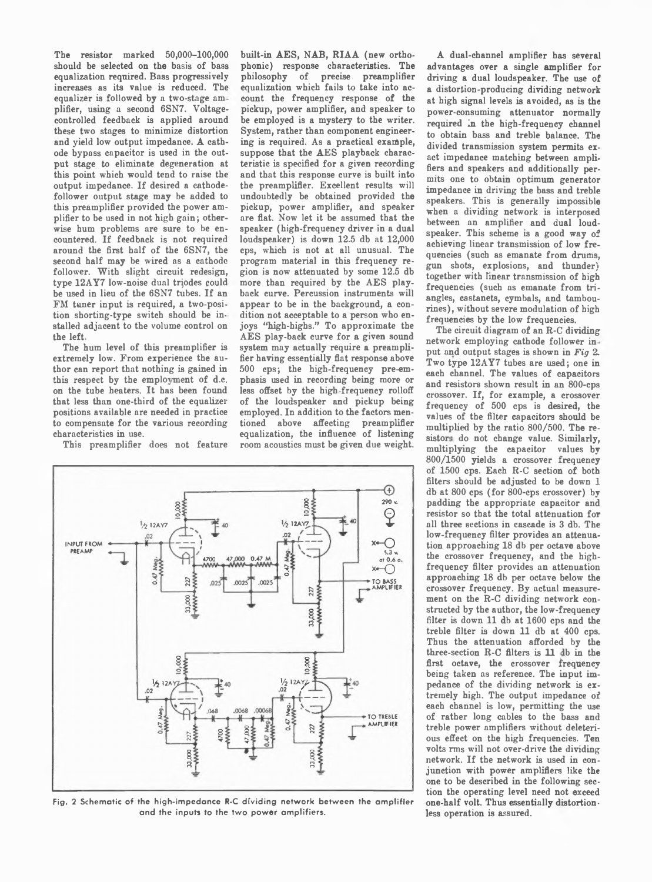The resistor marked 50,000-100,000 should be selected on the basis of bass equalization required. Bass progressively increases as its value is reduced. The equalizer is followed by a two-stage am plifier, using a second 6SN7. Voltagecontrolled feedback is applied around these two stages to minimize distortion and yield low output impedance. A cathode bypass capacitor is used in the output stage to eliminate degeneration at this point which would tend to raise the output impedance. If desired a cathodefollower output stage may be added to this preamplifier provided the power amplifier to be used in not high gain; otherwise hum problems are sure to be encountered. If feedback is not required around the first half of the 6SN7, the second half may be wired as a cathode follower. With slight circuit redesign,  $true$  12AY7 low-noise dual triodes could be used in lieu of the 6SN7 tubes. If an FM tuner input is required, a two-position shorting-type switch should be installed adjacent to the volume control on the left.

The hum level of this preamplifier is extremely low. From experience the author can report that nothing is gained in this respect by the employment of d.c. on the tube heaters. It has been found that less than one-third of the equalizer positions available are needed in practice to compensate for the various recording characteristics in use.

This preamplifier does not feature

built-in AES, NAB, RIAA (new orthophonic) response characteristics. The philosophy of precise preamplifier equalization which fails to take into account the frequency response of the pickup, power amplifier, and speaker to be employed is a mystery to the writer. System, rather than component engineering is required. As a practical example, suppose that the AES playback characteristic is specified for a given recording and that this response curve is built into the preamplifier. Excellent results will undoubtedly be obtained provided the pickup, power amplifier, and speaker are flat. Now let it be assumed that the speaker (high-frequency driver in a dual loudspeaker) is down 12.5 db at 12,000 cps, which is not at all unusual. The program material in this frequency region is now attenuated by some 12.5 db more than required by the AES playback curve. Percussion instruments will appear to be in the background, a condition not acceptable to a person who enjoys "high-highs." To approximate the AES play-back curve for a given sound system may actually require a preamplifier having essentially flat response above 500 cps; the high-frequency pre-emphasis used in recording being more or less offset by the high-frequency rolloff of the loudspeaker and pickup being employed. In addition to the factors mentioned above affecting preamplifier equalization, the influence of listening room acoustics must be given due weight.



**Fig. 2 Schematic of the high-impedance R-C dividing network between the amplifier and the inputs to the two power amplifiers.**

A dual-channel amplifier has several advantages over a single amplifier for driving a dual loudspeaker. The use of a distortion-producing dividing network at high signal levels is avoided, as is the power-consuming attenuator normally required in the high-frequency channel to obtain bass and treble balance. The divided transmission system permits exact impedance matching between amplifiers and speakers and additionally permits one to obtain optimum generator impedance in driving the bass and treble speakers. This is generally impossible when a dividing network is interposed between an amplifier and dual loudspeaker. This scheme is a good way of achieving linear transmission of low frequencies (such as emanate from drums, gun shots, explosions, and thunder) together with linear transmission of high frequencies (such as emanate from triangles, castanets, cymbals, and tambourines), without severe modulation of high frequencies by the low frequencies.

The circuit diagram of an R-C dividing network employing cathode follower in put and output stages is shown in *Fig* 2. Two type 12AY7 tubes are used; one in each channel. The values of capacitors and resistors shown result in an 800-cps crossover. If, for example, a crossover frequency of 500 cps is desired, the values of the filter capacitors should be multiplied by the ratio 800/500. The resistors do not change value. Similarly, multiplying the capacitor values by 800/1500 yields a crossover frequency of 1500 cps. Each R-C section of both filters should be adjusted to be down 1 db at 800 cps (for 800-cps crossover) by padding the appropriate capacitor and resistor so that the total attenuation for all three sections in cascade is 3 db. The low-frequency filter provides an attenuation approaching 18 db per octave above the crossover frequency, and the highfrequency filter provides an attenuation approaching 18 db per octave below the crossover frequency. By actual measurement on the R-C dividing network constructed by the author, the low-frequency filter is down 11 db at 1600 cps and the treble filter is down 11 db at 400 cps. Thus the attenuation afforded by the three-section  $R-C$  filters is  $11$  db in the first octave, the crossover frequency being taken as reference. The input impedance of the dividing network is extremely high. The output impedance of each channel is low, permitting the use of rather long cables to the bass and treble power amplifiers without deleterious effect on the high frequencies. Ten volts rms will not over-drive the dividing network. If the network is used in conjunction with power amplifiers like the one to be described in the following section the operating level need not exceed one-half volt. Thus essentially distortionless operation is assured.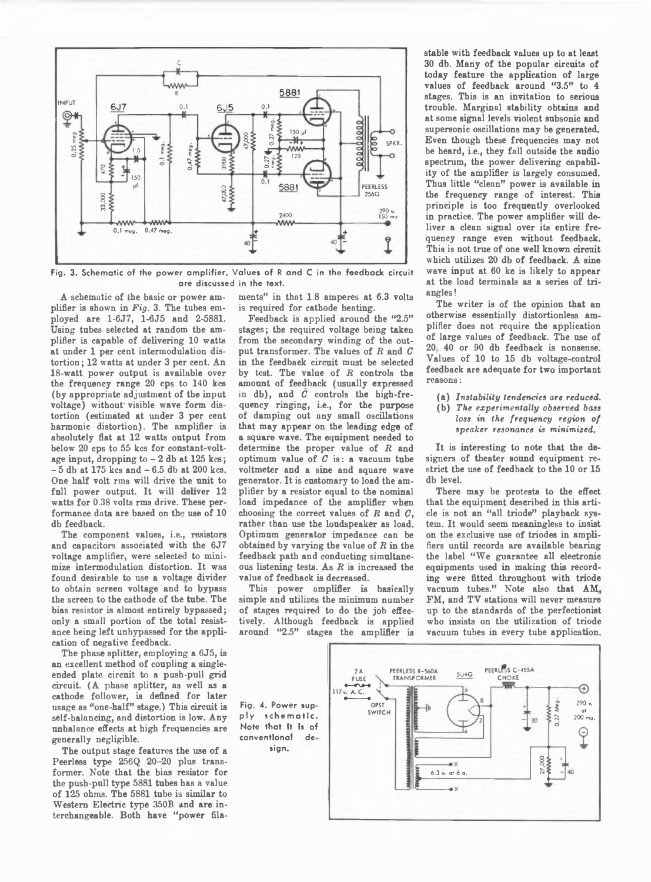

**Fig. 3. Schematic of the power amplifier. Values of R and C in the feedback circuit are discussed in the text.**

A schematic of the basic or power amplifier is shown in *Fig.* 3. The tubes employed are 1-6J7, 1-6J5 and 2-5881. Using tubes selected at random the amplifier is capable of delivering 10 watts at under 1 per cent intermodulation distortion ; 12 watts at under 3 per cent. An 18-watt power output is available over the frequency range 20 cps to 140 kcs (by appropriate adjustment of the input voltage) without' visible wave form distortion (estimated at under 3 per cent harmonic distortion). The amplifier is absolutely flat at 12 watts output from below 20 cps to 55 kcs for constant-voltage input, dropping to  $-2$  db at 125 kcs;  $-5$  db at 175 kcs and  $-6.5$  db at 200 kcs. One half volt rms will drive the unit to full power output. It will deliver 12 watts for 0.38 volts rms drive. These performance data are based on the use of 10 db feedback.

The component values, i.e., resistors and capacitors associated with the 6J7 voltage amplifier, were selected to minimize intermodulation distortion. It was found desirable to use a voltage divider to obtain screen voltage and to bypass the screen to the cathode of the tube. The bias resistor is almost entirely bypassed; only a small portion of the total resistance being left unbypassed for the application of negative feedback.

The phase splitter, employing a 6J5, is an excellent method of coupling a singleended plate circuit to a push-pull grid circuit. (A phase splitter, as well as a cathode follower, is defined for later usage as "one-half" stage.) This circuit is self-balancing, and distortion is low. Any unbalance effects at high frequencies are generally negligible.

The output stage features the use of a Peerless type 256Q 20-20 plus transformer. Note that the bias resistor for the push-pull type 5881 tubes has a value of 125 ohms. The 5881 tube is similar to Western Electric type 350B and are interchangeable. Both have "power filaments" in that 1.8 amperes at 6.3 volts is required for cathode heating.

Feedback is applied around the "2.5" stages; the required voltage being taken from the secondary winding of the output transformer. The values of *R* and *C* in the feedback circuit must be selected by test. The value of  $R$  controls the amount of feedback (usually expressed in db), and *C* controls the high-frequency ringing, i.e., for the purpose of damping out any small oscillations that may appear on the leading edge of a square wave. The equipment needed to determine the proper value of *R* and optimum value of  $C$  is: a vacuum tube voltmeter and a sine and square wave generator. It is customary to load the amplifier by a resistor equal to the nominal load impedance of the amplifier when choosing the correct values of *R* and *C,* rather than use the loudspeaker as load. Optimum generator impedance can be obtained by varying the value of  $R$  in the feedback path and conducting simultaneous listening tests. As *R* is increased the value of feedback is decreased.

This power amplifier is basically simple and utilizes the minimum number of stages required to do the job effectively. Although feedback is applied around "2.5" stages the amplifier is stable with feedback values up to at least 30 db. Many of the popular circuits of today feature the application of large values of feedback around "3.5" to 4 stages. This is an invitation to serious trouble. Marginal stability obtains and at some signal levels violent subsonic and supersonic oscillations may be generated. Even though these frequencies may not be heard, i.e., they fall outside the audio spectrum, the power delivering capability of the amplifier is largely consumed. Thus little "clean" power is available in the frequency range of interest. This principle is too frequently overlooked in practice. The power amplifier will deliver a clean signal over its entire frequency range even without feedback. This is not true of one well known circuit which utilizes 20 db of feedback. A sine wave input at 60 kc is likely to appear at the load terminals as a series of triangles !

The writer is of the opinion that an otherwise essentially distortionless amplifier does not require the application of large values of feedback. The use of 20. 40 or 90 db feedback is nonsense. Values of 10 to 15 db voltage-control feedback are adequate for two important reasons:

- (a) *Instability tendencies are reduced.*
- (b) *The experimentally observed bass loss in the frequency region of speaker resonance is minimised.*

It is interesting to note that the designers of theater sound equipment restrict the use of feedback to the 10 or 15 db level.

There may be protests to the effect that the equipment described in this article is not an "all triode" playback system. It would seem meaningless to insist on the exclusive use of triodes in amplifiers until records are available bearing the label " We guarantee all electronic equipments used in making this recording were fitted throughout with triode vacuum tubes." Note also that AM FM, and TV stations will never measure up to the standards of the perfectionist who insists on the utilization of triode vacuum tubes in every tube application.



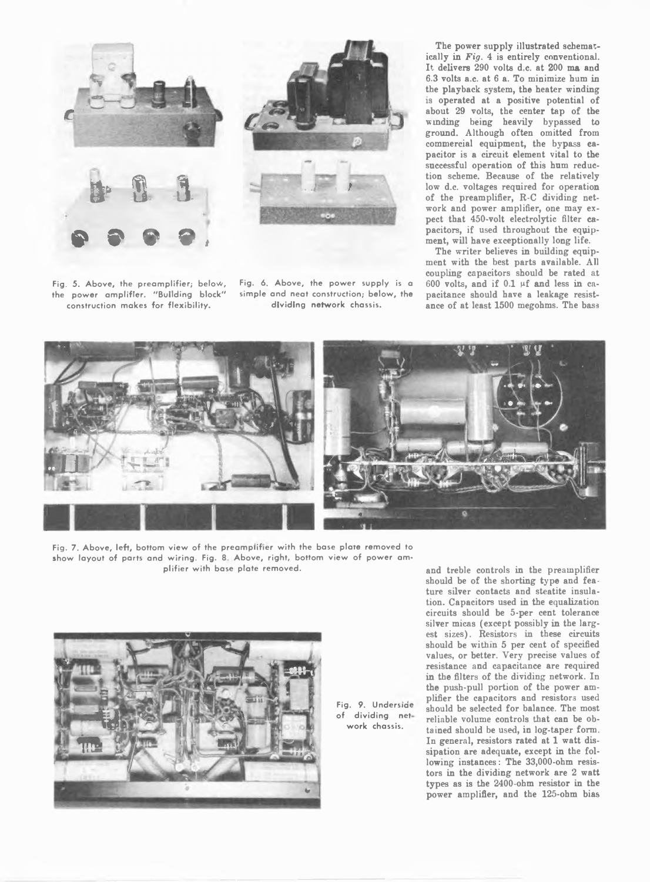





**Fig. 6 Above, the power supply is a simple and neat construction; below, the dividing network chassis.**

The power supply illustrated schematically in *Fig.* 4 is entirely conventional. It delivers 290 volts d.c. at 200 ma and 6.3 volts a.c. at 6 a. To minimize hum in the playback system, the heater winding is operated at a positive potential of about 29 volts, the center tap of tbe wmding being heavily bypassed to ground. Although often omitted from commercial equipment, the bypass capacitor is a circuit element vital to the successful operation of this hum reduction scheme. Because of the relatively low d.c. voltages required for operation of the preamplifier, R-C dividing network and power amplifier, one may expect that 450-volt electrolytic filter capacitors, if used throughout the equipment, will have exceptionally long life.

The writer believes in building equipment with the best parts available. All coupling capacitors should be rated at 600 volts, and if  $0.1$  µf and less in capacitance should have a leakage resistance of at least 1500 megohms. The bass



**Fig. 7. Above, left, bottom view of the preamplifier with the base plate removed to show layout of parts and wiring. Fig. 8 Above, right, bottom view of power amplifier with base plate removed.**



**Fig. 9. Undersiae of dividing net work chassis.**

and treble controls in the preamplifier should be of the shorting type and feature silver contacts and steatite insulation. Capacitors used in the equalization circuits should be 5-per cent tolerance silver micas (except possibly in the largest sizes). Resistors in these circuits should be within 5 per cent of specified values, or better. Very precise values of resistance and capacitance are required in the filters of the dividing network. In the push-pull portion of the power amplifier the capacitors and resistors used should be selected for balance. The most reliable volume controls that can be obtained should be used, in log-taper form. In general, resistors rated at 1 watt dissipation are adequate, except in the following instances: The 33,000-ohm resistors in the dividing network are 2 watt types as is the 2400-ohm resistor in the power amplifier, and the 125-ohm bias